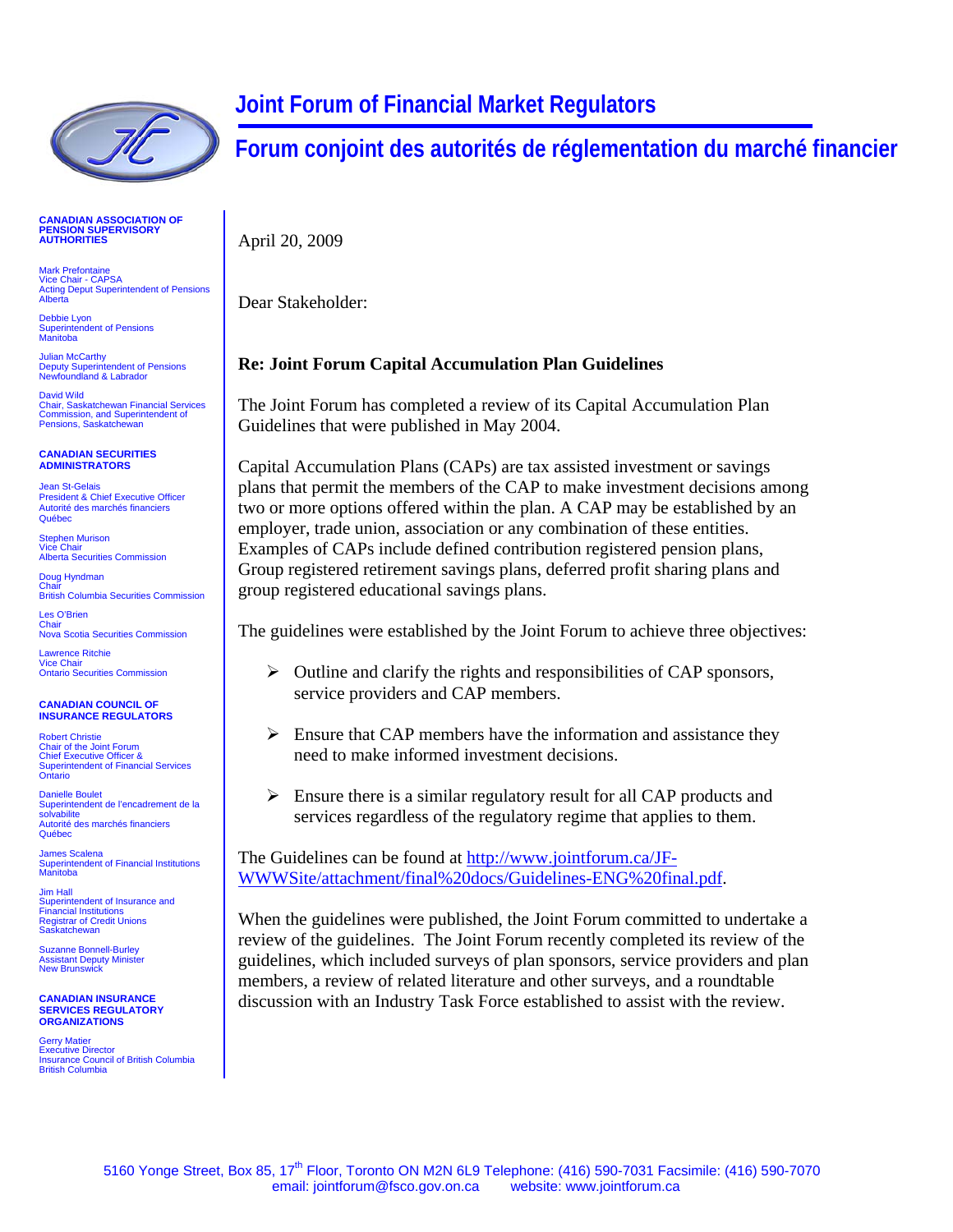

**CANADIAN ASSOCIATION OF PENSION SUP RVISORY E AUTHORITIES**

Mark Prefontaine Vice Chair - CAPSA Acting Deput Superintendent of Pensions Alberta

Debbie Lyon Superintendent of Pensions Manitoba

Julian McCarthy Deputy Superintendent of Pensions Newfoundland & Labrador

David Wild Chair, Saskatchewan Financial Services Commission, and Superintendent of Pensions, Saskatchewan

## **CANADIAN SECURITIES ADMINISTRATORS**

Jean St-Gelais President & Chief Executive Officer Autorité des marchés financiers Québec

Stephen Murison Vice Chair Alberta Securities Commission

Doug Hyndman Chair British Columbia Securities Commission

Les O'Brien Chair Nova Scotia Securities Commission

 Lawrence Ritchie Vice Chair Ontario Securities Commission

**CANADIAN COUNCIL OF INSURANCE REGULATORS**

Robert Christie Chair of the Joint Forum Chief Executive Officer & Superintendent of Financial Services Ontario

Danielle Boulet<br>Superintendent de l'encadrement de la<br>solvabilite Autorité des marchés financiers Québec

James Scalena<br>Superintendent of Financial Institutions<br>Manitoba

Jim Hall Superintendent of Insurance and Financial Institutions Registrar of Credit Unions Saskatchewan

Suzanne Bonnell-Burley Assistant Deputy Minister New Brunswick

 **CANADIAN INSURANCE SERVICES REGULATORY ORGANIZATIONS**

Gerry Matier Executive Director Insurance Council of British Columbia British Columbia

## **Joint Forum of Financial Market Regulators**

**Forum conjoint des autorités de réglementation du marché financier**

April 20, 2009

Dear Stakeholder:

## **Re: Joint Forum Capital Accumulation Plan Guidelines**

The Joint Forum has completed a review of its Capital Accumulation Plan Guidelines that were published in May 2004.

Capital Accumulation Plans (CAPs) are tax assisted investment or savings plans that permit the members of the CAP to make investment decisions among two or more options offered within the plan. A CAP may be established by an employer, trade union, association or any combination of these entities. Examples of CAPs include defined contribution registered pension plans, Group registered retirement savings plans, deferred profit sharing plans and group registered educational savings plans.

The guidelines were established by the Joint Forum to achieve three objectives:

- $\triangleright$  Outline and clarify the rights and responsibilities of CAP sponsors, service providers and CAP members.
- $\triangleright$  Ensure that CAP members have the information and assistance they need to make informed investment decisions.
- $\triangleright$  Ensure there is a similar regulatory result for all CAP products and services regardless of the regulatory regime that applies to them.

The Guidelines can be found at [http://www.jointforum.ca/JF-](http://www.jointforum.ca/JF-WWWSite/attachment/final%20docs/Guidelines-ENG%20final.pdf)[WWWSite/attachment/final%20docs/Guidelines-ENG%20final.pdf](http://www.jointforum.ca/JF-WWWSite/attachment/final%20docs/Guidelines-ENG%20final.pdf).

When the guidelines were published, the Joint Forum committed to undertake a review of the guidelines. The Joint Forum recently completed its review of the guidelines, which included surveys of plan sponsors, service providers and plan members, a review of related literature and other surveys, and a roundtable discussion with an Industry Task Force established to assist with the review.